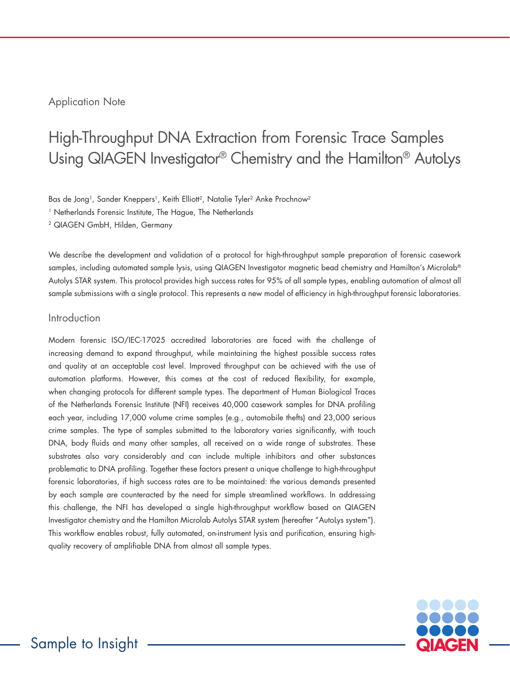## Application Note

# High-Throughput DNA Extraction from Forensic Trace Samples Using QIAGEN Investigator® Chemistry and the Hamilton® AutoLys

Bas de Jong<sup>1</sup>, Sander Kneppers<sup>1</sup>, Keith Elliott<sup>2</sup>, Natalie Tyler<sup>2</sup> Anke Prochnow<sup>2</sup>

<sup>1</sup> Netherlands Forensic Institute, The Hague, The Netherlands

2 QIAGEN GmbH, Hilden, Germany

We describe the development and validation of a protocol for high-throughput sample preparation of forensic casework samples, including automated sample lysis, using QIAGEN Investigator magnetic bead chemistry and Hamilton's Microlab® Autolys STAR system. This protocol provides high success rates for 95% of all sample types, enabling automation of almost all sample submissions with a single protocol. This represents a new model of efficiency in high-throughput forensic laboratories.

#### Introduction

Modern forensic ISO/IEC-17025 accredited laboratories are faced with the challenge of increasing demand to expand throughput, while maintaining the highest possible success rates and quality at an acceptable cost level. Improved throughput can be achieved with the use of automation platforms. However, this comes at the cost of reduced flexibility, for example, when changing protocols for different sample types. The department of Human Biological Traces of the Netherlands Forensic Institute (NFI) receives 40,000 casework samples for DNA profiling each year, including 17,000 volume crime samples (e.g., automobile thefts) and 23,000 serious crime samples. The type of samples submitted to the laboratory varies significantly, with touch DNA, body fluids and many other samples, all received on a wide range of substrates. These substrates also vary considerably and can include multiple inhibitors and other substances problematic to DNA profiling. Together these factors present a unique challenge to high-throughput forensic laboratories, if high success rates are to be maintained: the various demands presented by each sample are counteracted by the need for simple streamlined workflows. In addressing this challenge, the NFI has developed a single high-throughput workflow based on QIAGEN Investigator chemistry and the Hamilton Microlab Autolys STAR system (hereafter "AutoLys system"). This workflow enables robust, fully automated, on-instrument lysis and purification, ensuring highquality recovery of amplifiable DNA from almost all sample types.

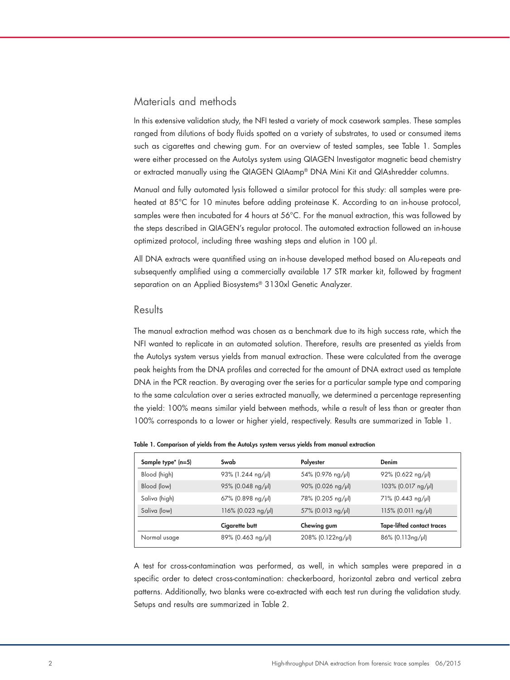### Materials and methods

In this extensive validation study, the NFI tested a variety of mock casework samples. These samples ranged from dilutions of body fluids spotted on a variety of substrates, to used or consumed items such as cigarettes and chewing gum. For an overview of tested samples, see Table 1. Samples were either processed on the AutoLys system using QIAGEN Investigator magnetic bead chemistry or extracted manually using the QIAGEN QIAamp® DNA Mini Kit and QIAshredder columns.

Manual and fully automated lysis followed a similar protocol for this study: all samples were preheated at 85°C for 10 minutes before adding proteinase K. According to an in-house protocol, samples were then incubated for 4 hours at 56°C. For the manual extraction, this was followed by the steps described in QIAGEN's regular protocol. The automated extraction followed an in-house optimized protocol, including three washing steps and elution in 100 µl.

All DNA extracts were quantified using an in-house developed method based on Alu-repeats and subsequently amplified using a commercially available 17 STR marker kit, followed by fragment separation on an Applied Biosystems® 3130xl Genetic Analyzer.

#### **Results**

The manual extraction method was chosen as a benchmark due to its high success rate, which the NFI wanted to replicate in an automated solution. Therefore, results are presented as yields from the AutoLys system versus yields from manual extraction. These were calculated from the average peak heights from the DNA profiles and corrected for the amount of DNA extract used as template DNA in the PCR reaction. By averaging over the series for a particular sample type and comparing to the same calculation over a series extracted manually, we determined a percentage representing the yield: 100% means similar yield between methods, while a result of less than or greater than 100% corresponds to a lower or higher yield, respectively. Results are summarized in Table 1.

|  |  | Table 1. Comparison of yields from the AutoLys system versus yields from manual extraction |  |  |  |  |  |  |  |  |  |  |  |
|--|--|--------------------------------------------------------------------------------------------|--|--|--|--|--|--|--|--|--|--|--|
|--|--|--------------------------------------------------------------------------------------------|--|--|--|--|--|--|--|--|--|--|--|

| Sample type <sup>*</sup> (n=5) | Swab                 | Polyester            | Denim                             |
|--------------------------------|----------------------|----------------------|-----------------------------------|
| Blood (high)                   | 93% (1.244 ng/µl)    | 54% (0.976 ng/µl)    | $92\%$ (0.622 ng/µl)              |
| Blood (low)                    | $95\%$ (0.048 ng/µl) | $90\%$ (0.026 ng/µl) | 103% (0.017 ng/µl)                |
| Saliva (high)                  | 67% (0.898 ng/µl)    | 78% (0.205 ng/µl)    | 71% (0.443 ng/µl)                 |
| Saliva (low)                   | 116% (0.023 ng/µl)   | 57% (0.013 ng/µl)    | $115\%$ (0.011 ng/µl)             |
|                                | Cigarette butt       | Chewing gum          | <b>Tape-lifted contact traces</b> |
| Normal usage                   | $89\%$ (0.463 ng/µl) | 208% (0.122ng/µl)    | $86\%$ (0.113ng/µl)               |

A test for cross-contamination was performed, as well, in which samples were prepared in a specific order to detect cross-contamination: checkerboard, horizontal zebra and vertical zebra patterns. Additionally, two blanks were co-extracted with each test run during the validation study. Setups and results are summarized in Table 2.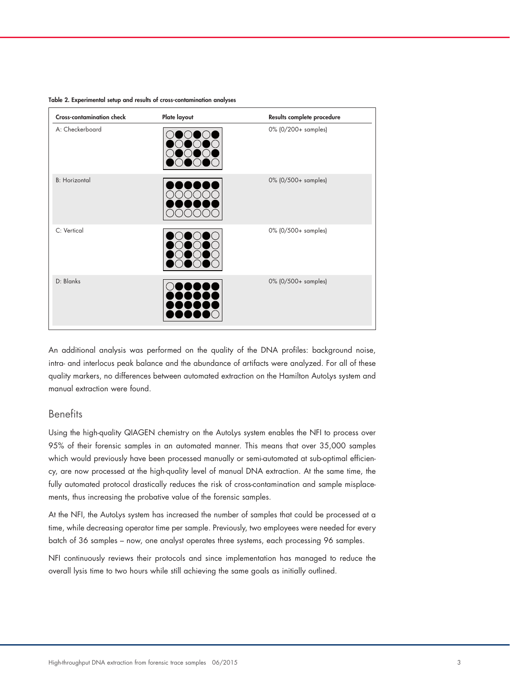| <b>Cross-contamination check</b> | Plate layout | Results complete procedure |
|----------------------------------|--------------|----------------------------|
| A: Checkerboard                  |              | 0% (0/200+ samples)        |
| <b>B:</b> Horizontal             |              | 0% (0/500+ samples)        |
| C: Vertical                      |              | 0% (0/500+ samples)        |
| D: Blanks                        |              | 0% (0/500+ samples)        |

Table 2. Experimental setup and results of cross-contamination analyses

An additional analysis was performed on the quality of the DNA profiles: background noise, intra- and interlocus peak balance and the abundance of artifacts were analyzed. For all of these quality markers, no differences between automated extraction on the Hamilton AutoLys system and manual extraction were found.

#### **Benefits**

Using the high-quality QIAGEN chemistry on the AutoLys system enables the NFI to process over 95% of their forensic samples in an automated manner. This means that over 35,000 samples which would previously have been processed manually or semi-automated at sub-optimal efficiency, are now processed at the high-quality level of manual DNA extraction. At the same time, the fully automated protocol drastically reduces the risk of cross-contamination and sample misplacements, thus increasing the probative value of the forensic samples.

At the NFI, the AutoLys system has increased the number of samples that could be processed at a time, while decreasing operator time per sample. Previously, two employees were needed for every batch of 36 samples – now, one analyst operates three systems, each processing 96 samples.

NFI continuously reviews their protocols and since implementation has managed to reduce the overall lysis time to two hours while still achieving the same goals as initially outlined.